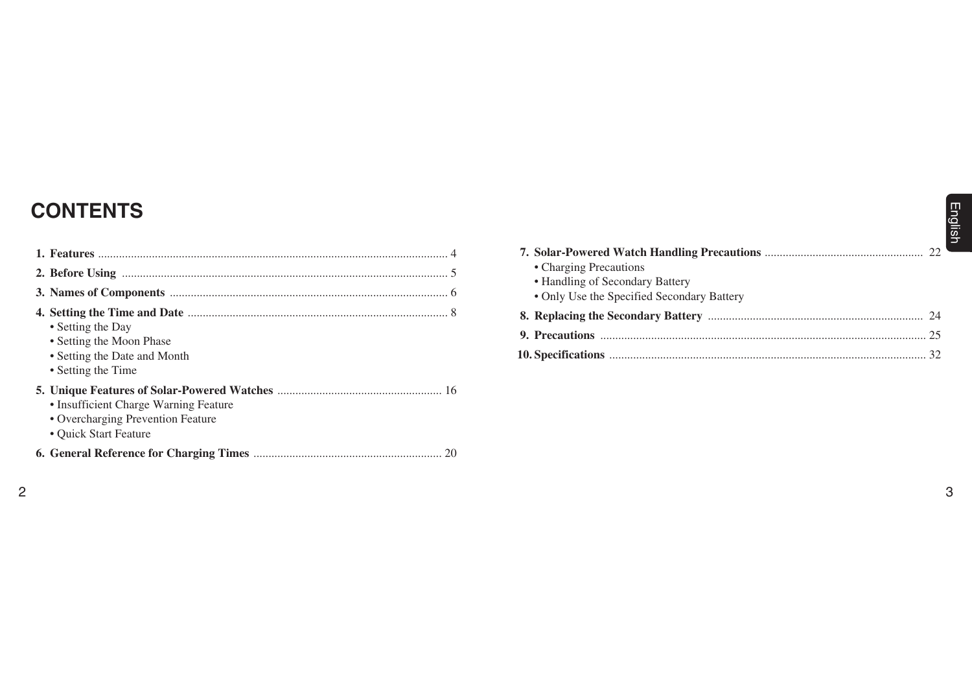# **CONTENTS**

| <b>CONTENTS</b>                                                                                     |                                                                                                         |   |
|-----------------------------------------------------------------------------------------------------|---------------------------------------------------------------------------------------------------------|---|
|                                                                                                     | • Charging Precautions<br>• Handling of Secondary Battery<br>• Only Use the Specified Secondary Battery |   |
| • Setting the Day<br>• Setting the Moon Phase<br>• Setting the Date and Month<br>• Setting the Time |                                                                                                         |   |
| • Insufficient Charge Warning Feature<br>• Overcharging Prevention Feature<br>• Quick Start Feature |                                                                                                         |   |
|                                                                                                     |                                                                                                         |   |
|                                                                                                     |                                                                                                         | 3 |

| • Charging Precautions                     |  |
|--------------------------------------------|--|
| • Handling of Secondary Battery            |  |
| • Only Use the Specified Secondary Battery |  |
|                                            |  |
|                                            |  |
|                                            |  |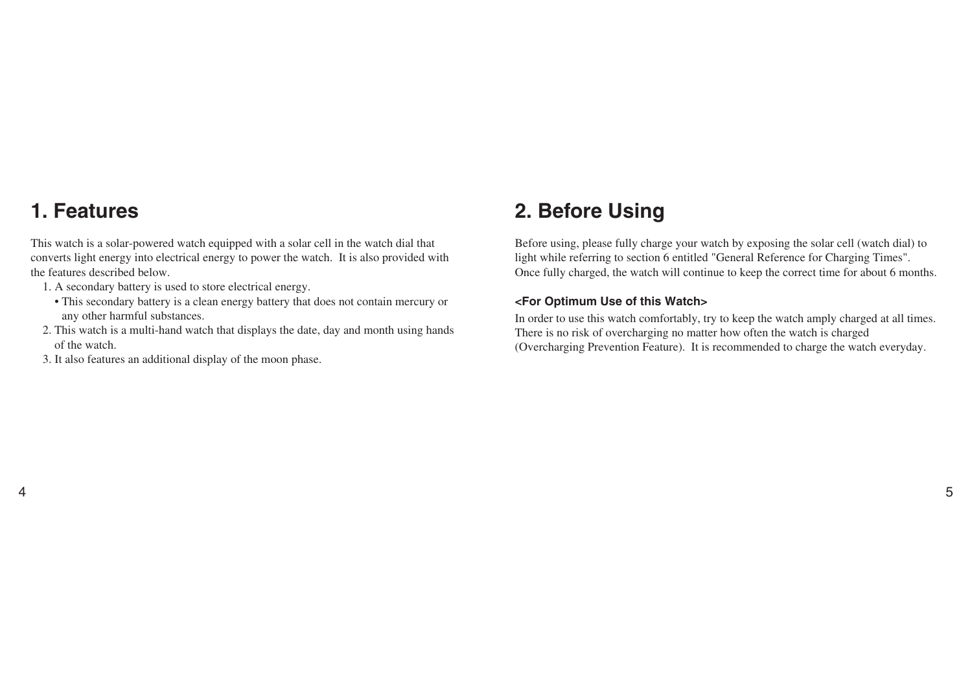## **1. Features**

4

This watch is a solar-powered watch equipped with a solar cell in the watch dial that converts light energy into electrical energy to power the watch. It is also provided with the features described below.

- 1. A secondary battery is used to store electrical energy.
	- This secondary battery is a clean energy battery that does not contain mercury or any other harmful substances.
- 2. This watch is a multi-hand watch that displays the date, day and month using hands of the watch.
- 3. It also features an additional display of the moon phase.

## **2. Before Using**

Before using, please fully charge your watch by exposing the solar cell (watch dial) to light while referring to section 6 entitled "General Reference for Charging Times". Once fully charged, the watch will continue to keep the correct time for about 6 months.

#### **<For Optimum Use of this Watch>**

In order to use this watch comfortably, try to keep the watch amply charged at all times. There is no risk of overcharging no matter how often the watch is charged (Overcharging Prevention Feature). It is recommended to charge the watch everyday.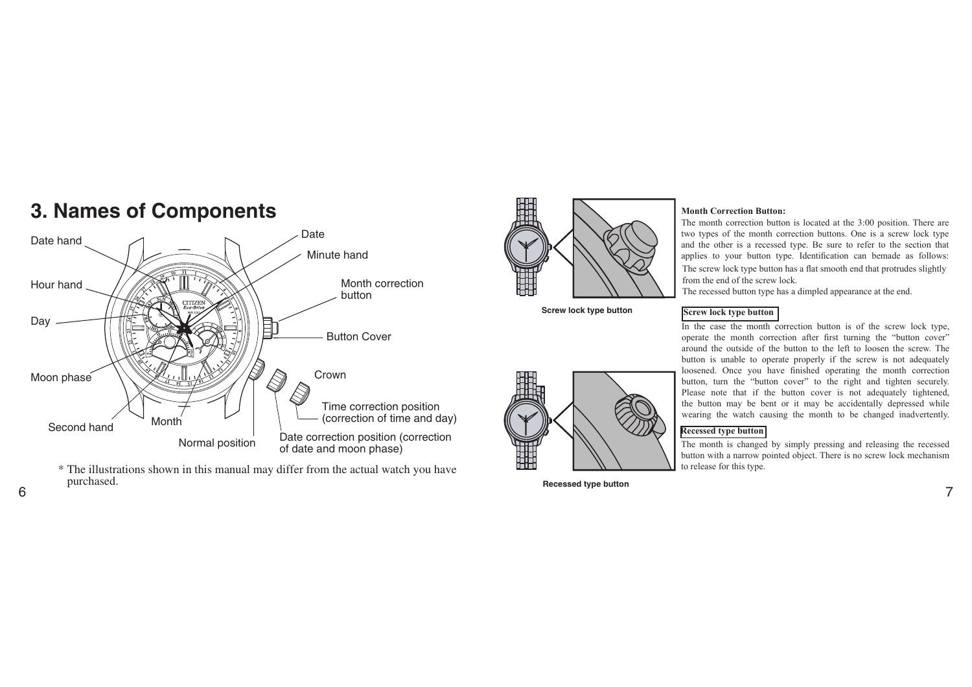

 $\frac{1}{6}$   $\frac{1}{7}$ \* The illustrations shown in this manual may differ from the actual watch you have purchased.



**Screw lock type button**



**Recessed type button** 

#### **Month Correction Button:**

The month correction button is located at the 3:00 position. There are two types of the month correction buttons. One is a screw lock type and the other is a recessed type. Be sure to refer to the section that applies to your button type. Identification can bemade as follows: The screw lock type button has a flat smooth end that protrudes slightly from the end of the screw lock.

The recessed button type has a dimpled appearance at the end.

#### **Screw lock type button**

In the case the month correction button is of the screw lock type, operate the month correction after irst turning the "button cover" around the outside of the button to the left to loosen the screw. The button is unable to operate properly if the screw is not adequately loosened. Once you have finished operating the month correction button, turn the "button cover" to the right and tighten securely. Please note that if the button cover is not adequately tightened, the button may be bent or it may be accidentally depressed while wearing the watch causing the month to be changed inadvertently.

#### **Recessed type button**

The month is changed by simply pressing and releasing the recessed button with a narrow pointed object. There is no screw lock mechanism to release for this type.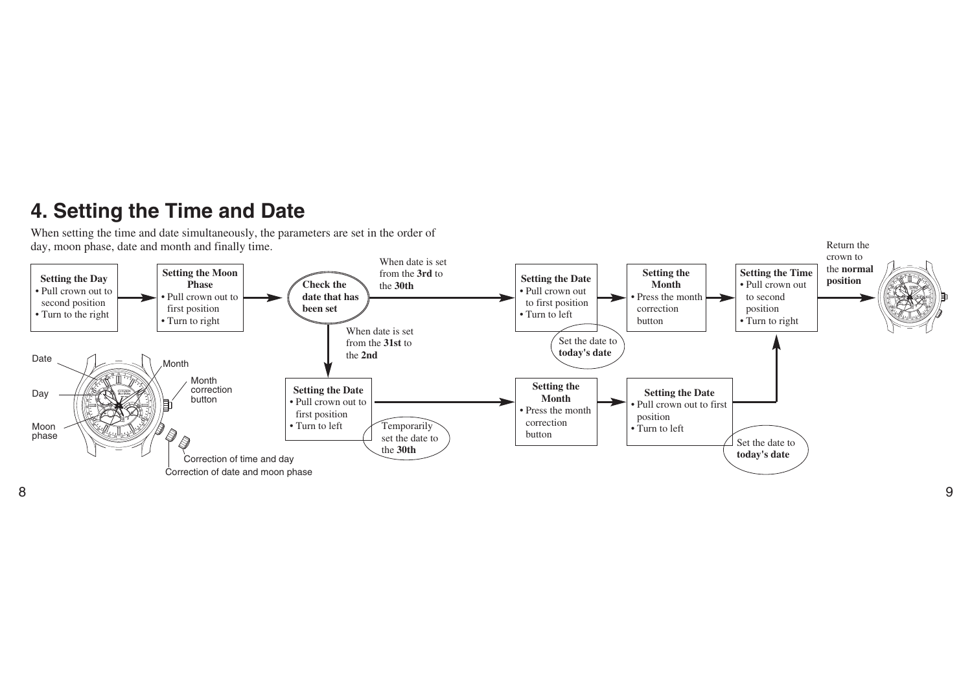## **4. Setting the Time and Date**

When setting the time and date simultaneously, the parameters are set in the order of day, moon phase, date and month and finally time.



8

Return the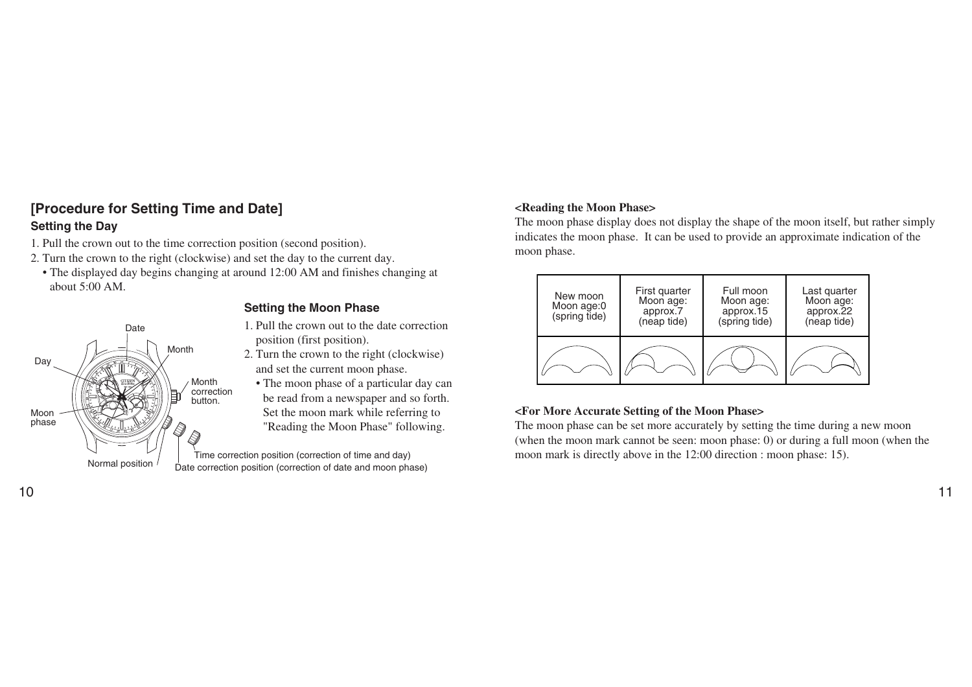## **[Procedure for Setting Time and Date] Setting the Day**

- 1. Pull the crown out to the time correction position (second position).
- 2. Turn the crown to the right (clockwise) and set the day to the current day.
	- The displayed day begins changing at around 12:00 AM and finishes changing at about 5:00 AM.



## **Setting the Moon Phase**

- 1. Pull the crown out to the date correction position (first position).
- 2. Turn the crown to the right (clockwise) and set the current moon phase.
- The moon phase of a particular day can be read from a newspaper and so forth. Set the moon mark while referring to "Reading the Moon Phase" following.

Time correction position (correction of time and day) Normal position  $\overline{D}$   $\overline{D}$  bate correction position (correction of date and moon phase)

## **<Reading the Moon Phase>**

The moon phase display does not display the shape of the moon itself, but rather simply indicates the moon phase. It can be used to provide an approximate indication of the moon phase.

| First quarter<br>New moon<br>Moon age:<br>Moon age:0<br>approx.7<br>(spring tide)<br>(neap tide) |  | Full moon<br>Moon age:<br>approx.15<br>(spring tide) | Last quarter<br>Moon age:<br>approx.22<br>(neap tide) |  |
|--------------------------------------------------------------------------------------------------|--|------------------------------------------------------|-------------------------------------------------------|--|
|                                                                                                  |  |                                                      |                                                       |  |

## **<For More Accurate Setting of the Moon Phase>**

The moon phase can be set more accurately by setting the time during a new moon (when the moon mark cannot be seen: moon phase: 0) or during a full moon (when the moon mark is directly above in the 12:00 direction : moon phase: 15).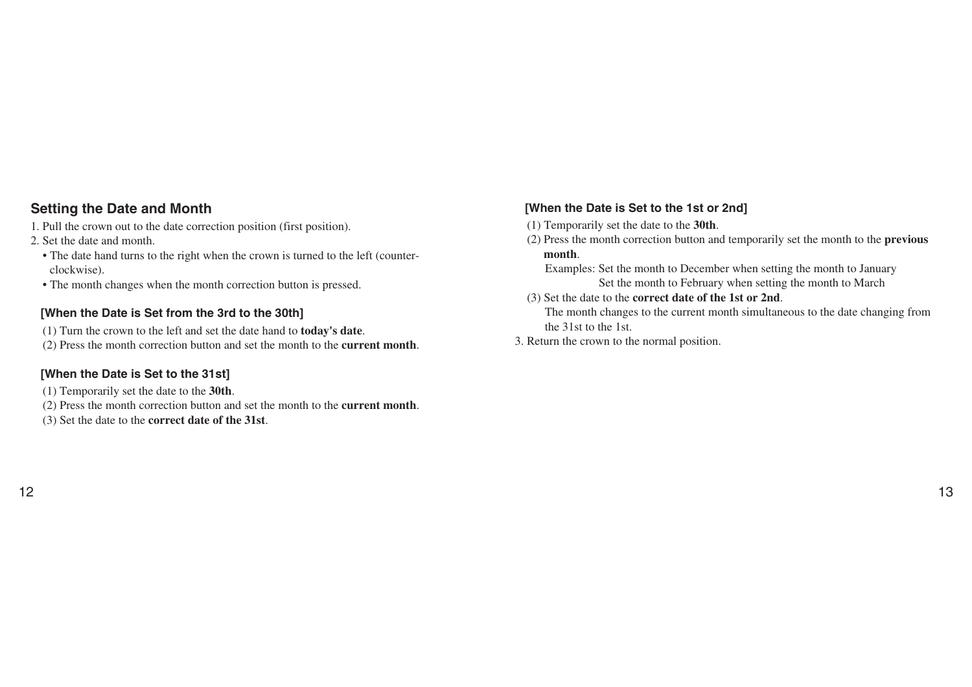## **Setting the Date and Month**

- 1. Pull the crown out to the date correction position (first position).
- 2. Set the date and month.
	- The date hand turns to the right when the crown is turned to the left (counterclockwise).
	- The month changes when the month correction button is pressed.

### **[When the Date is Set from the 3rd to the 30th]**

- (1) Turn the crown to the left and set the date hand to **today's date**.
- (2) Press the month correction button and set the month to the **current month**.

### **[When the Date is Set to the 31st]**

- (1) Temporarily set the date to the **30th**.
- (2) Press the month correction button and set the month to the **current month**.
- (3) Set the date to the **correct date of the 31st**.

## **[When the Date is Set to the 1st or 2nd]**

- (1) Temporarily set the date to the **30th**.
- (2) Press the month correction button and temporarily set the month to the **previous month**.

Examples: Set the month to December when setting the month to January Set the month to February when setting the month to March

(3) Set the date to the **correct date of the 1st or 2nd**.

The month changes to the current month simultaneous to the date changing from the 31st to the 1st.

3. Return the crown to the normal position.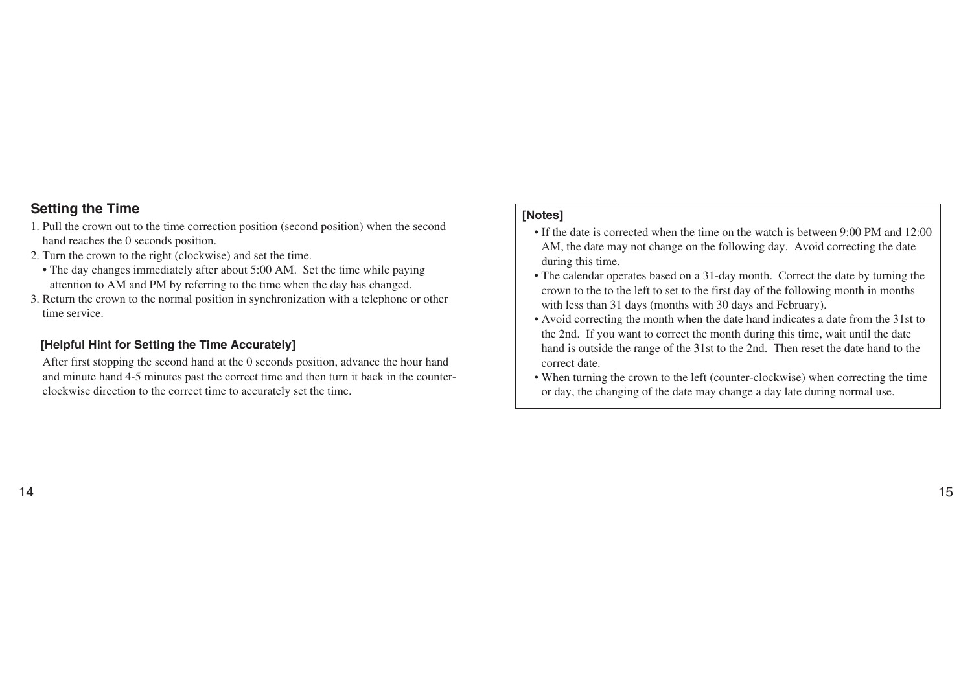### **Setting the Time**

- 1. Pull the crown out to the time correction position (second position) when the second hand reaches the 0 seconds position.
- 2. Turn the crown to the right (clockwise) and set the time.
	- The day changes immediately after about 5:00 AM. Set the time while paying attention to AM and PM by referring to the time when the day has changed.
- 3. Return the crown to the normal position in synchronization with a telephone or other time service.

### **[Helpful Hint for Setting the Time Accurately]**

After first stopping the second hand at the 0 seconds position, advance the hour hand and minute hand 4-5 minutes past the correct time and then turn it back in the counterclockwise direction to the correct time to accurately set the time.

#### **[Notes]**

- If the date is corrected when the time on the watch is between 9:00 PM and 12:00 AM, the date may not change on the following day. Avoid correcting the date during this time.
- The calendar operates based on a 31-day month. Correct the date by turning the crown to the to the left to set to the first day of the following month in months with less than 31 days (months with 30 days and February).
- Avoid correcting the month when the date hand indicates a date from the 31st to the 2nd. If you want to correct the month during this time, wait until the date hand is outside the range of the 31st to the 2nd. Then reset the date hand to the correct date.
- When turning the crown to the left (counter-clockwise) when correcting the time or day, the changing of the date may change a day late during normal use.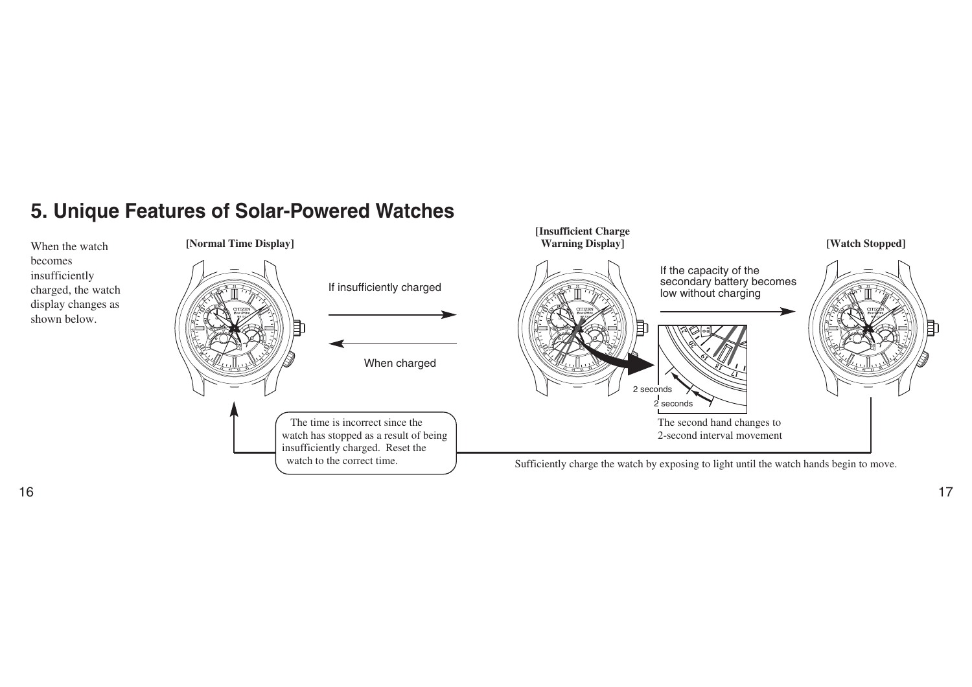## **5. Unique Features of Solar-Powered Watches**

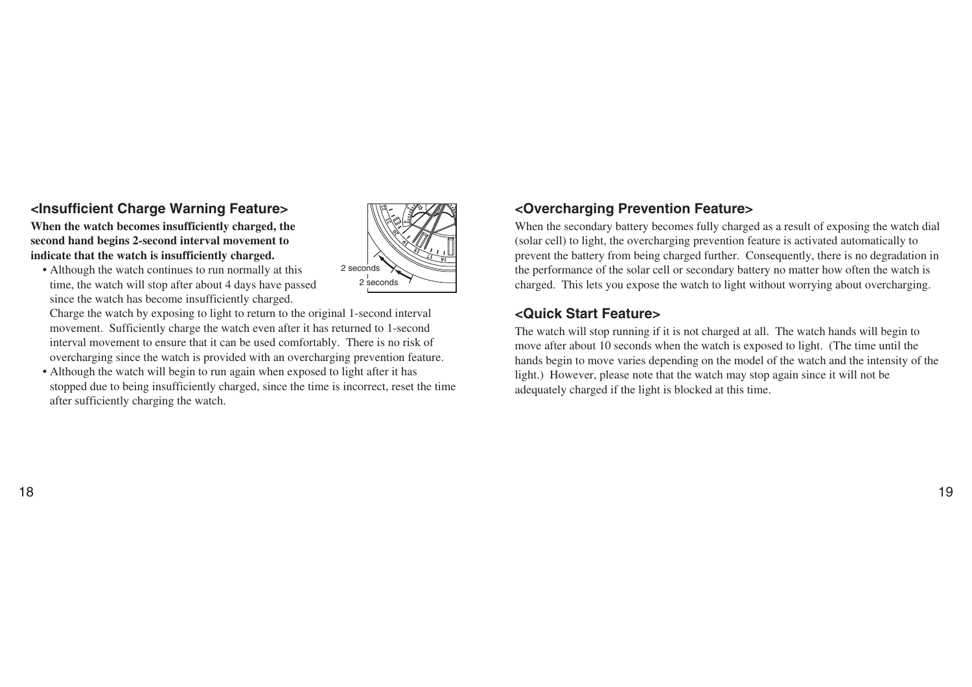## **<Insufficient Charge Warning Feature>**

**When the watch becomes insufficiently charged, the second hand begins 2-second interval movement to indicate that the watch is insufficiently charged.** 



• Although the watch continues to run normally at this time, the watch will stop after about 4 days have passed since the watch has become insufficiently charged.

Charge the watch by exposing to light to return to the original 1-second interval movement. Sufficiently charge the watch even after it has returned to 1-second interval movement to ensure that it can be used comfortably. There is no risk of overcharging since the watch is provided with an overcharging prevention feature.

• Although the watch will begin to run again when exposed to light after it has stopped due to being insufficiently charged, since the time is incorrect, reset the time after sufficiently charging the watch.

## **<Overcharging Prevention Feature>**

When the secondary battery becomes fully charged as a result of exposing the watch dial (solar cell) to light, the overcharging prevention feature is activated automatically to prevent the battery from being charged further. Consequently, there is no degradation in the performance of the solar cell or secondary battery no matter how often the watch is charged. This lets you expose the watch to light without worrying about overcharging.

## **<Quick Start Feature>**

The watch will stop running if it is not charged at all. The watch hands will begin to move after about 10 seconds when the watch is exposed to light. (The time until the hands begin to move varies depending on the model of the watch and the intensity of the light.) However, please note that the watch may stop again since it will not be adequately charged if the light is blocked at this time.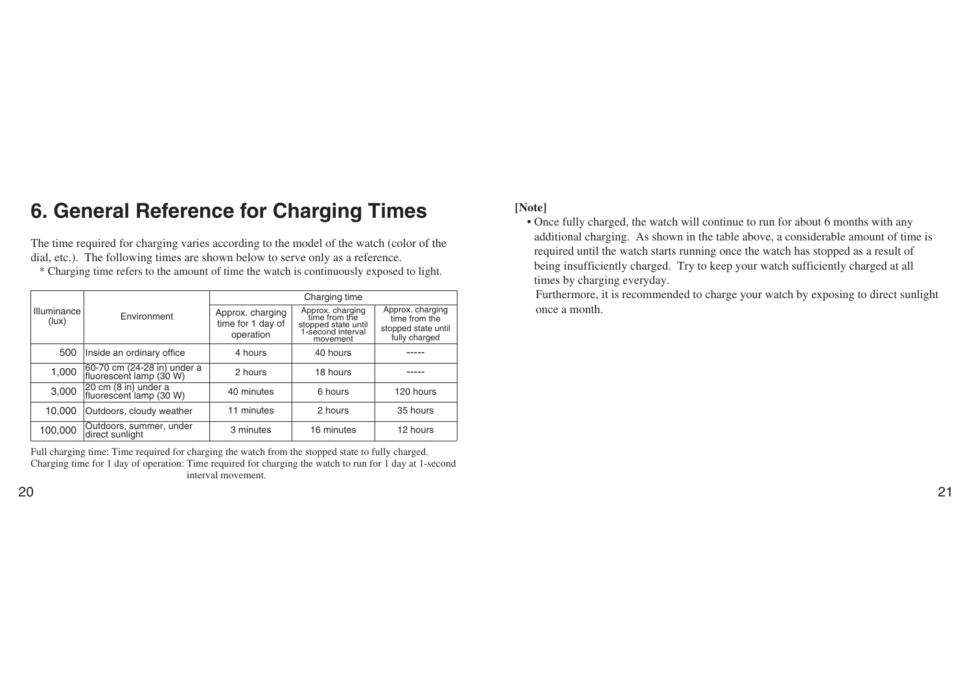## **6. General Reference for Charging Times**

The time required for charging varies according to the model of the watch (color of the dial, etc.). The following times are shown below to serve only as a reference.

\* Charging time refers to the amount of time the watch is continuously exposed to light.

|                      | Environment                                            | Charging time                                      |                                                                                           |                                                                           |  |
|----------------------|--------------------------------------------------------|----------------------------------------------------|-------------------------------------------------------------------------------------------|---------------------------------------------------------------------------|--|
| Illuminance<br>(lux) |                                                        | Approx. charging<br>time for 1 day of<br>operation | Approx. charging<br>time from the<br>stopped state until<br>1-second interval<br>movement | Approx. charging<br>time from the<br>stopped state until<br>fully charged |  |
| 500                  | Inside an ordinary office                              | 4 hours                                            | 40 hours                                                                                  |                                                                           |  |
| 1,000                | 60-70 cm (24-28 in) under a<br>fluorescent lamp (30 W) | 2 hours                                            | 18 hours                                                                                  |                                                                           |  |
| 3,000                | 20 cm (8 in) under a<br>fluorescent lamp (30 W)        | 40 minutes                                         | 6 hours                                                                                   | 120 hours                                                                 |  |
| 10,000               | Outdoors, cloudy weather                               | 11 minutes                                         | 2 hours                                                                                   | 35 hours                                                                  |  |
| 100,000              | Outdoors, summer, under<br>direct sunlight             | 3 minutes                                          | 16 minutes                                                                                | 12 hours                                                                  |  |

Full charging time: Time required for charging the watch from the stopped state to fully charged. Charging time for 1 day of operation: Time required for charging the watch to run for 1 day at 1-second interval movement.

#### **[Note]**

• Once fully charged, the watch will continue to run for about 6 months with any additional charging. As shown in the table above, a considerable amount of time is required until the watch starts running once the watch has stopped as a result of being insufficiently charged. Try to keep your watch sufficiently charged at all times by charging everyday.

Furthermore, it is recommended to charge your watch by exposing to direct sunlight once a month.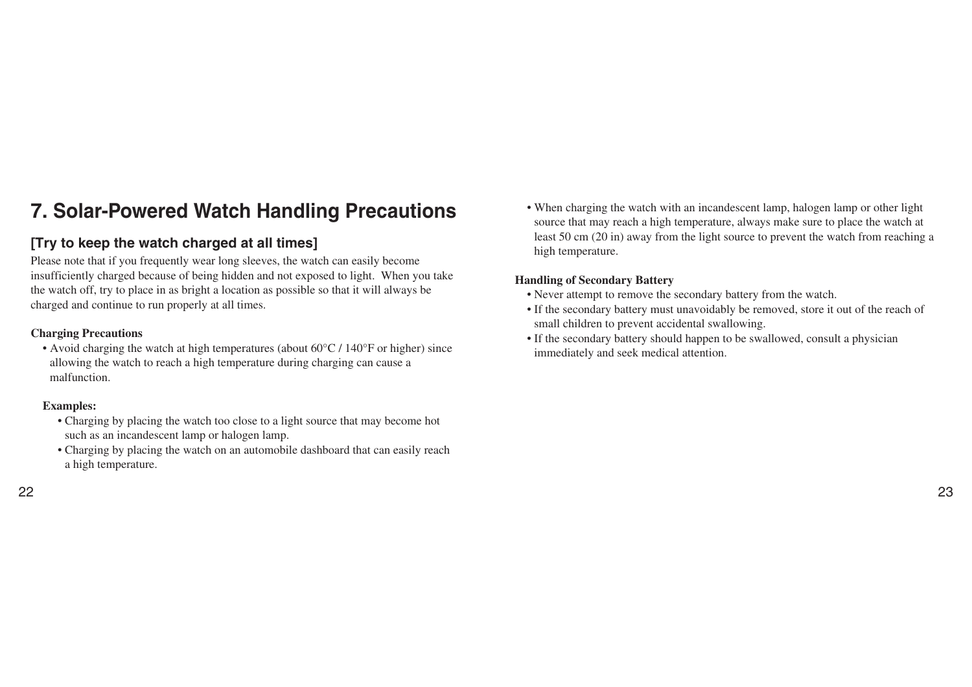## **7. Solar-Powered Watch Handling Precautions**

## **[Try to keep the watch charged at all times]**

Please note that if you frequently wear long sleeves, the watch can easily become insufficiently charged because of being hidden and not exposed to light. When you take the watch off, try to place in as bright a location as possible so that it will always be charged and continue to run properly at all times.

#### **Charging Precautions**

• Avoid charging the watch at high temperatures (about 60°C / 140°F or higher) since allowing the watch to reach a high temperature during charging can cause a malfunction.

#### **Examples:**

- Charging by placing the watch too close to a light source that may become hot such as an incandescent lamp or halogen lamp.
- Charging by placing the watch on an automobile dashboard that can easily reach a high temperature.
- 22 23

• When charging the watch with an incandescent lamp, halogen lamp or other light source that may reach a high temperature, always make sure to place the watch at least 50 cm (20 in) away from the light source to prevent the watch from reaching a high temperature.

### **Handling of Secondary Battery**

- Never attempt to remove the secondary battery from the watch.
- If the secondary battery must unavoidably be removed, store it out of the reach of small children to prevent accidental swallowing.
- If the secondary battery should happen to be swallowed, consult a physician immediately and seek medical attention.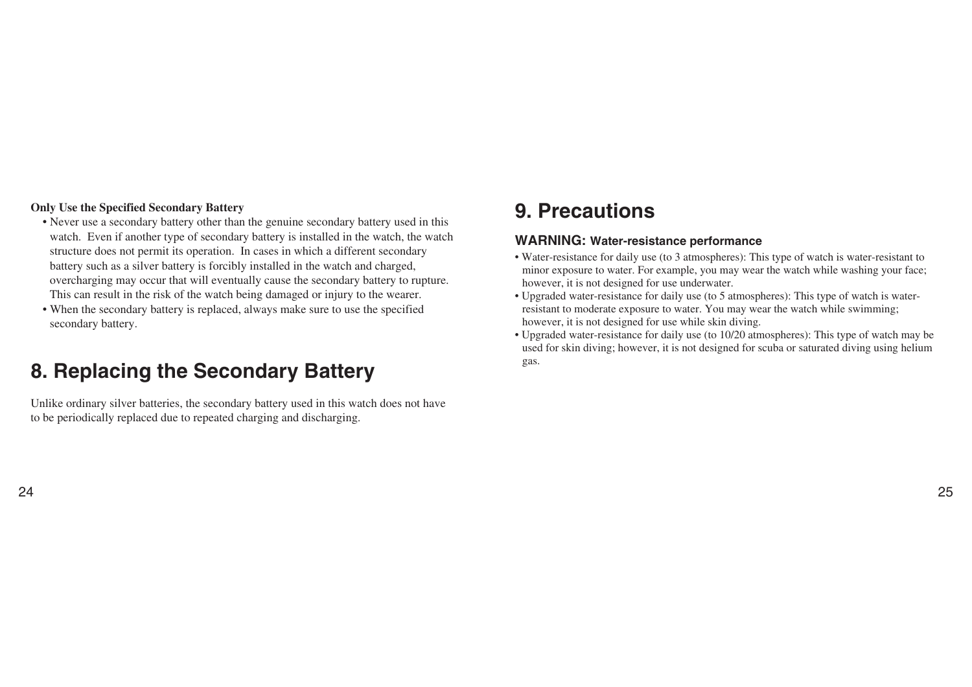#### **Only Use the Specified Secondary Battery**

- Never use a secondary battery other than the genuine secondary battery used in this watch. Even if another type of secondary battery is installed in the watch, the watch structure does not permit its operation. In cases in which a different secondary battery such as a silver battery is forcibly installed in the watch and charged, overcharging may occur that will eventually cause the secondary battery to rupture. This can result in the risk of the watch being damaged or injury to the wearer.
- When the secondary battery is replaced, always make sure to use the specified secondary battery.

## **8. Replacing the Secondary Battery**

Unlike ordinary silver batteries, the secondary battery used in this watch does not have to be periodically replaced due to repeated charging and discharging.

## **9. Precautions**

### **WARNING: Water-resistance performance**

- Water-resistance for daily use (to 3 atmospheres): This type of watch is water-resistant to minor exposure to water. For example, you may wear the watch while washing your face; however, it is not designed for use underwater.
- Upgraded water-resistance for daily use (to 5 atmospheres): This type of watch is waterresistant to moderate exposure to water. You may wear the watch while swimming; however, it is not designed for use while skin diving.
- Upgraded water-resistance for daily use (to 10/20 atmospheres): This type of watch may be used for skin diving; however, it is not designed for scuba or saturated diving using helium gas.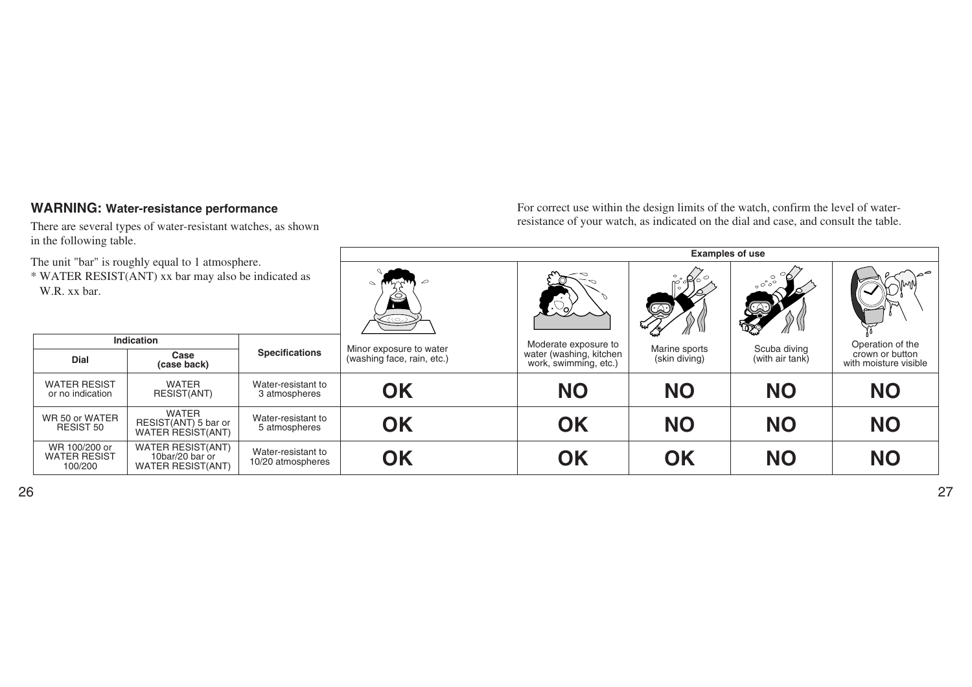## **WARNING: Water-resistance performance**

There are several types of water-resistant watches, as shown in the following table.

For correct use within the design limits of the watch, confirm the level of waterresistance of your watch, as indicated on the dial and case, and consult the table.

| he unit "bar" is roughly equal to 1 atmosphere.<br>WATER RESIST(ANT) xx bar may also be indicated as<br>W.R. xx bar. |                                                                         | <b>Examples of use</b>                  |                                                       |                                                                          |                                              |                                 |                                                              |
|----------------------------------------------------------------------------------------------------------------------|-------------------------------------------------------------------------|-----------------------------------------|-------------------------------------------------------|--------------------------------------------------------------------------|----------------------------------------------|---------------------------------|--------------------------------------------------------------|
|                                                                                                                      |                                                                         | <u>(رت)</u>                             |                                                       | Q                                                                        | $\circ$ 6<br>$\circ\ ^\circ\ ^\circ\ ^\circ$ |                                 |                                                              |
| Dial                                                                                                                 | <b>Indication</b><br>Case<br>(case back)                                | <b>Specifications</b>                   | Minor exposure to water<br>(washing face, rain, etc.) | Moderate exposure to<br>water (washing, kitchen<br>work, swimming, etc.) | Marine sports<br>(skin diving)               | Scuba diving<br>(with air tank) | Operation of the<br>crown or button<br>with moisture visible |
| <b>WATER RESIST</b><br>or no indication                                                                              | <b>WATER</b><br>RESIST(ANT)                                             | Water-resistant to<br>3 atmospheres     | <b>OK</b>                                             | <b>NO</b>                                                                | <b>NO</b>                                    | <b>NO</b>                       | <b>NO</b>                                                    |
| WR 50 or WATER<br>RESIST 50                                                                                          | <b>WATER</b><br>RESIST(ANT) 5 bar or<br>WATER RESIST(ANT)               | Water-resistant to<br>5 atmospheres     | <b>OK</b>                                             | OK                                                                       | <b>NO</b>                                    | <b>NO</b>                       | <b>NO</b>                                                    |
| WR 100/200 or<br><b>WATER RESIST</b><br>100/200                                                                      | <b>WATER RESIST(ANT)</b><br>10bar/20 bar or<br><b>WATER RESIST(ANT)</b> | Water-resistant to<br>10/20 atmospheres | <b>OK</b>                                             | OK                                                                       | OK                                           | <b>NO</b>                       | <b>NO</b>                                                    |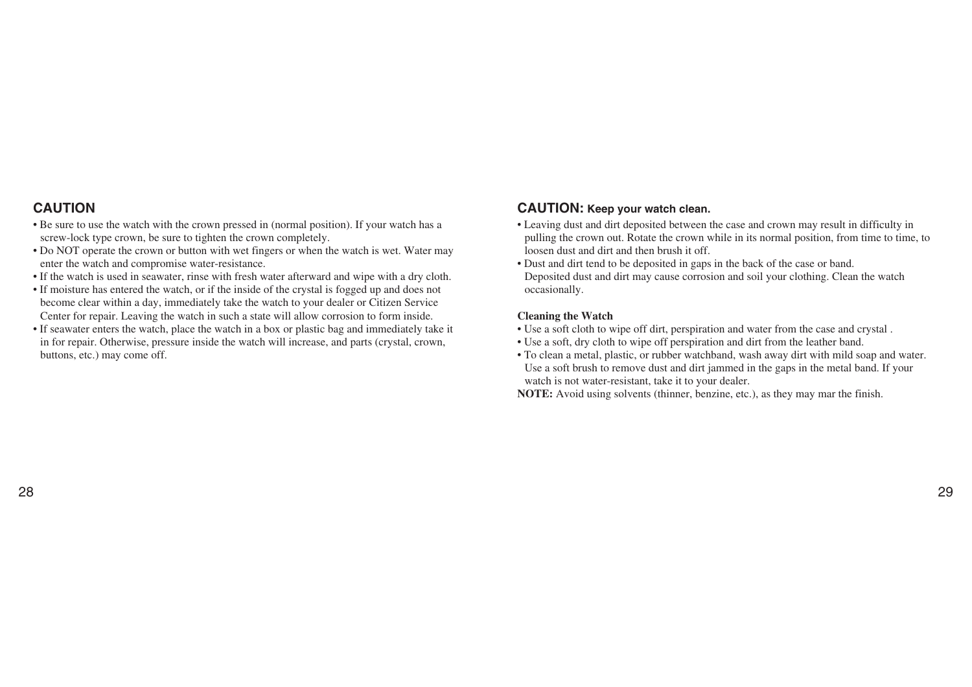## **CAUTION**

- Be sure to use the watch with the crown pressed in (normal position). If your watch has a screw-lock type crown, be sure to tighten the crown completely.
- Do NOT operate the crown or button with wet fingers or when the watch is wet. Water may enter the watch and compromise water-resistance.
- If the watch is used in seawater, rinse with fresh water afterward and wipe with a dry cloth.
- If moisture has entered the watch, or if the inside of the crystal is fogged up and does not become clear within a day, immediately take the watch to your dealer or Citizen Service Center for repair. Leaving the watch in such a state will allow corrosion to form inside.
- If seawater enters the watch, place the watch in a box or plastic bag and immediately take it in for repair. Otherwise, pressure inside the watch will increase, and parts (crystal, crown, buttons, etc.) may come off.

### **CAUTION: Keep your watch clean.**

- Leaving dust and dirt deposited between the case and crown may result in difficulty in pulling the crown out. Rotate the crown while in its normal position, from time to time, to loosen dust and dirt and then brush it off.
- Dust and dirt tend to be deposited in gaps in the back of the case or band. Deposited dust and dirt may cause corrosion and soil your clothing. Clean the watch occasionally.

#### **Cleaning the Watch**

- Use a soft cloth to wipe off dirt, perspiration and water from the case and crystal .
- Use a soft, dry cloth to wipe off perspiration and dirt from the leather band.
- To clean a metal, plastic, or rubber watchband, wash away dirt with mild soap and water. Use a soft brush to remove dust and dirt jammed in the gaps in the metal band. If your watch is not water-resistant, take it to your dealer.

**NOTE:** Avoid using solvents (thinner, benzine, etc.), as they may mar the finish.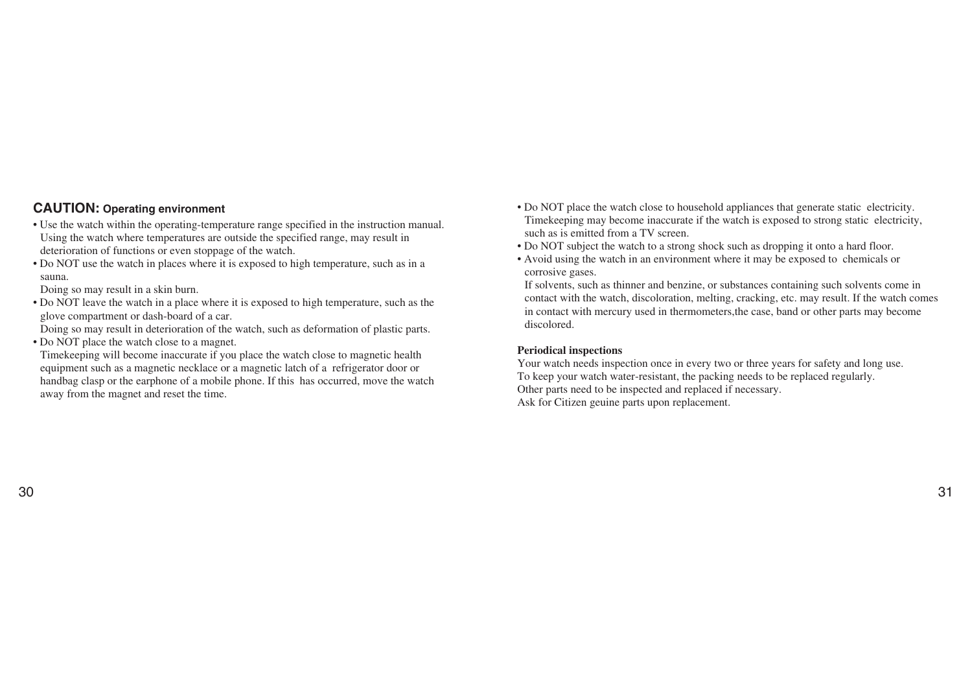#### **CAUTION: Operating environment**

- Use the watch within the operating-temperature range specified in the instruction manual. Using the watch where temperatures are outside the specified range, may result in deterioration of functions or even stoppage of the watch.
- Do NOT use the watch in places where it is exposed to high temperature, such as in a sauna.

Doing so may result in a skin burn.

• Do NOT leave the watch in a place where it is exposed to high temperature, such as the glove compartment or dash-board of a car.

Doing so may result in deterioration of the watch, such as deformation of plastic parts.

• Do NOT place the watch close to a magnet.

Timekeeping will become inaccurate if you place the watch close to magnetic health equipment such as a magnetic necklace or a magnetic latch of a refrigerator door or handbag clasp or the earphone of a mobile phone. If this has occurred, move the watch away from the magnet and reset the time.

- Do NOT place the watch close to household appliances that generate static electricity. Timekeeping may become inaccurate if the watch is exposed to strong static electricity, such as is emitted from a TV screen.
- Do NOT subject the watch to a strong shock such as dropping it onto a hard floor.
- Avoid using the watch in an environment where it may be exposed to chemicals or corrosive gases.

If solvents, such as thinner and benzine, or substances containing such solvents come in contact with the watch, discoloration, melting, cracking, etc. may result. If the watch comes in contact with mercury used in thermometers,the case, band or other parts may become discolored.

#### **Periodical inspections**

Your watch needs inspection once in every two or three years for safety and long use. To keep your watch water-resistant, the packing needs to be replaced regularly. Other parts need to be inspected and replaced if necessary. Ask for Citizen geuine parts upon replacement.